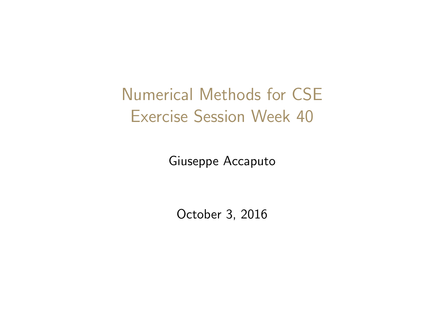<span id="page-0-0"></span>Numerical Methods for CSE Exercise Session Week 40

Giuseppe Accaputo

October 3, 2016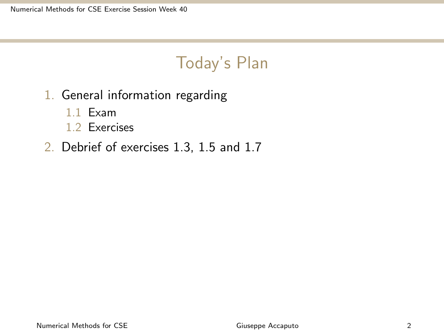### Today's Plan

- 1. General information regarding
	- 1.1 Exam
	- 1.2 Exercises
- 2. Debrief of exercises 1.3, 1.5 and 1.7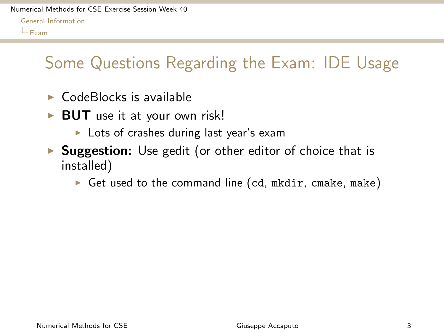# <span id="page-2-0"></span>Some Questions Regarding the Exam: IDE Usage

- $\blacktriangleright$  CodeBlocks is available
- $\triangleright$  BUT use it at your own risk!
	- $\blacktriangleright$  Lots of crashes during last year's exam
- $\triangleright$  Suggestion: Use gedit (or other editor of choice that is installed)
	- Get used to the command line (cd, mkdir, cmake, make)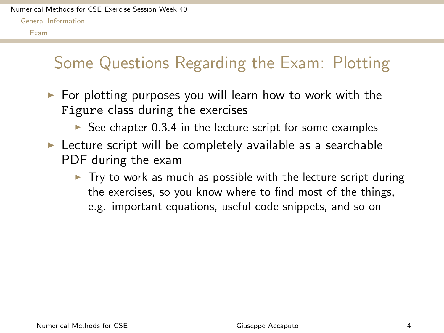## <span id="page-3-0"></span>Some Questions Regarding the Exam: Plotting

- $\triangleright$  For plotting purposes you will learn how to work with the Figure class during the exercises
	- $\triangleright$  See chapter 0.3.4 in the lecture script for some examples
- $\triangleright$  Lecture script will be completely available as a searchable PDF during the exam
	- $\triangleright$  Try to work as much as possible with the lecture script during the exercises, so you know where to find most of the things, e.g. important equations, useful code snippets, and so on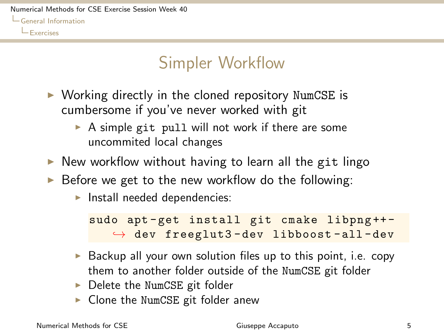## Simpler Workflow

- <span id="page-4-0"></span> $\triangleright$  Working directly in the cloned repository NumCSE is cumbersome if you've never worked with git
	- $\triangleright$  A simple git pull will not work if there are some uncommited local changes
- $\triangleright$  New workflow without having to learn all the git lingo
- $\triangleright$  Before we get to the new workflow do the following:
	- $\blacktriangleright$  Install needed dependencies:

sudo apt-get install git cmake libpng++- $\rightarrow$  dev freeglut3-dev libboost-all-dev

- $\triangleright$  Backup all your own solution files up to this point, i.e. copy them to another folder outside of the NumCSE git folder
- $\triangleright$  Delete the NumCSE git folder
- $\triangleright$  Clone the NumCSE git folder anew

Numerical Methods for CSE Giuseppe Accaputo 5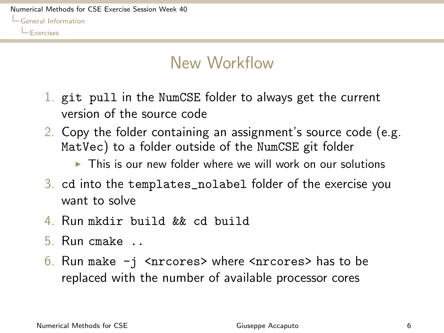#### New Workflow

- <span id="page-5-0"></span>1. git pull in the NumCSE folder to always get the current version of the source code
- 2. Copy the folder containing an assignment's source code (e.g. MatVec) to a folder outside of the NumCSE git folder
	- $\triangleright$  This is our new folder where we will work on our solutions
- 3. cd into the templates\_nolabel folder of the exercise you want to solve
- 4. Run mkdir build && cd build
- 5. Run cmake ..
- 6. Run make  $-i$  <nrcores> where <nrcores> has to be replaced with the number of available processor cores